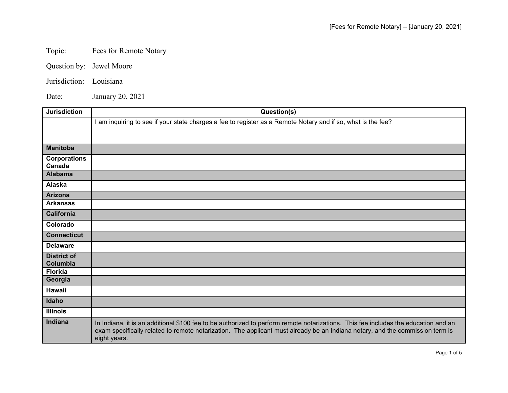## Topic: Fees for Remote Notary

- Question by: Jewel Moore
- Jurisdiction: Louisiana

Date: January 20, 2021

| <b>Jurisdiction</b> | Question(s)                                                                                                                                                                                                                                                                         |
|---------------------|-------------------------------------------------------------------------------------------------------------------------------------------------------------------------------------------------------------------------------------------------------------------------------------|
|                     | I am inquiring to see if your state charges a fee to register as a Remote Notary and if so, what is the fee?                                                                                                                                                                        |
|                     |                                                                                                                                                                                                                                                                                     |
|                     |                                                                                                                                                                                                                                                                                     |
| <b>Manitoba</b>     |                                                                                                                                                                                                                                                                                     |
| <b>Corporations</b> |                                                                                                                                                                                                                                                                                     |
| Canada              |                                                                                                                                                                                                                                                                                     |
| <b>Alabama</b>      |                                                                                                                                                                                                                                                                                     |
| Alaska              |                                                                                                                                                                                                                                                                                     |
| <b>Arizona</b>      |                                                                                                                                                                                                                                                                                     |
| <b>Arkansas</b>     |                                                                                                                                                                                                                                                                                     |
| <b>California</b>   |                                                                                                                                                                                                                                                                                     |
| Colorado            |                                                                                                                                                                                                                                                                                     |
| <b>Connecticut</b>  |                                                                                                                                                                                                                                                                                     |
| <b>Delaware</b>     |                                                                                                                                                                                                                                                                                     |
| <b>District of</b>  |                                                                                                                                                                                                                                                                                     |
| Columbia            |                                                                                                                                                                                                                                                                                     |
| <b>Florida</b>      |                                                                                                                                                                                                                                                                                     |
| Georgia             |                                                                                                                                                                                                                                                                                     |
| <b>Hawaii</b>       |                                                                                                                                                                                                                                                                                     |
| Idaho               |                                                                                                                                                                                                                                                                                     |
| <b>Illinois</b>     |                                                                                                                                                                                                                                                                                     |
| Indiana             | In Indiana, it is an additional \$100 fee to be authorized to perform remote notarizations. This fee includes the education and an<br>exam specifically related to remote notarization. The applicant must already be an Indiana notary, and the commission term is<br>eight years. |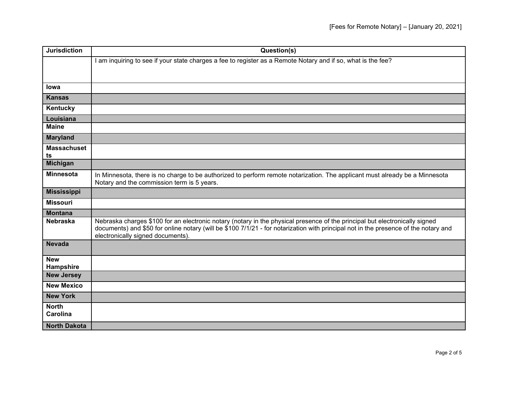| <b>Jurisdiction</b>     | Question(s)                                                                                                                                                                                                                                                                                             |
|-------------------------|---------------------------------------------------------------------------------------------------------------------------------------------------------------------------------------------------------------------------------------------------------------------------------------------------------|
|                         | I am inquiring to see if your state charges a fee to register as a Remote Notary and if so, what is the fee?                                                                                                                                                                                            |
|                         |                                                                                                                                                                                                                                                                                                         |
|                         |                                                                                                                                                                                                                                                                                                         |
| <b>lowa</b>             |                                                                                                                                                                                                                                                                                                         |
| <b>Kansas</b>           |                                                                                                                                                                                                                                                                                                         |
| Kentucky                |                                                                                                                                                                                                                                                                                                         |
| Louisiana               |                                                                                                                                                                                                                                                                                                         |
| <b>Maine</b>            |                                                                                                                                                                                                                                                                                                         |
| <b>Maryland</b>         |                                                                                                                                                                                                                                                                                                         |
| <b>Massachuset</b>      |                                                                                                                                                                                                                                                                                                         |
| ts<br><b>Michigan</b>   |                                                                                                                                                                                                                                                                                                         |
|                         |                                                                                                                                                                                                                                                                                                         |
| <b>Minnesota</b>        | In Minnesota, there is no charge to be authorized to perform remote notarization. The applicant must already be a Minnesota<br>Notary and the commission term is 5 years.                                                                                                                               |
| <b>Mississippi</b>      |                                                                                                                                                                                                                                                                                                         |
| <b>Missouri</b>         |                                                                                                                                                                                                                                                                                                         |
| <b>Montana</b>          |                                                                                                                                                                                                                                                                                                         |
| <b>Nebraska</b>         | Nebraska charges \$100 for an electronic notary (notary in the physical presence of the principal but electronically signed<br>documents) and \$50 for online notary (will be \$100 7/1/21 - for notarization with principal not in the presence of the notary and<br>electronically signed documents). |
| <b>Nevada</b>           |                                                                                                                                                                                                                                                                                                         |
| <b>New</b><br>Hampshire |                                                                                                                                                                                                                                                                                                         |
| <b>New Jersey</b>       |                                                                                                                                                                                                                                                                                                         |
| <b>New Mexico</b>       |                                                                                                                                                                                                                                                                                                         |
| <b>New York</b>         |                                                                                                                                                                                                                                                                                                         |
| <b>North</b>            |                                                                                                                                                                                                                                                                                                         |
| <b>Carolina</b>         |                                                                                                                                                                                                                                                                                                         |
| <b>North Dakota</b>     |                                                                                                                                                                                                                                                                                                         |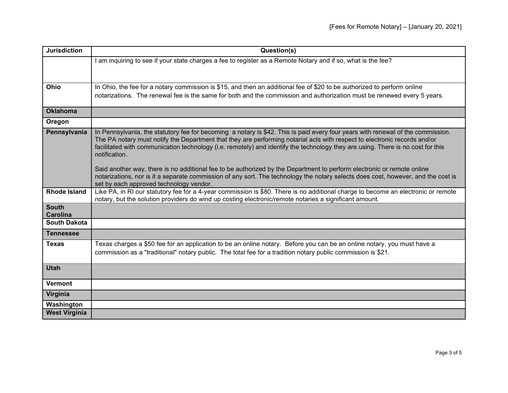| <b>Jurisdiction</b>             | Question(s)                                                                                                                                                                                                                                                                                                                                                                                                      |
|---------------------------------|------------------------------------------------------------------------------------------------------------------------------------------------------------------------------------------------------------------------------------------------------------------------------------------------------------------------------------------------------------------------------------------------------------------|
|                                 | I am inquiring to see if your state charges a fee to register as a Remote Notary and if so, what is the fee?                                                                                                                                                                                                                                                                                                     |
|                                 |                                                                                                                                                                                                                                                                                                                                                                                                                  |
|                                 |                                                                                                                                                                                                                                                                                                                                                                                                                  |
| Ohio                            | In Ohio, the fee for a notary commission is \$15, and then an additional fee of \$20 to be authorized to perform online                                                                                                                                                                                                                                                                                          |
|                                 | notarizations. The renewal fee is the same for both and the commission and authorization must be renewed every 5 years.                                                                                                                                                                                                                                                                                          |
| <b>Oklahoma</b>                 |                                                                                                                                                                                                                                                                                                                                                                                                                  |
| Oregon                          |                                                                                                                                                                                                                                                                                                                                                                                                                  |
| Pennsylvania                    | In Pennsylvania, the statutory fee for becoming a notary is \$42. This is paid every four years with renewal of the commission.<br>The PA notary must notify the Department that they are performing notarial acts with respect to electronic records and/or<br>facilitated with communication technology (i.e. remotely) and identify the technology they are using. There is no cost for this<br>notification. |
|                                 | Said another way, there is no additional fee to be authorized by the Department to perform electronic or remote online<br>notarizations, nor is it a separate commission of any sort. The technology the notary selects does cost, however, and the cost is<br>set by each approved technology vendor.                                                                                                           |
| <b>Rhode Island</b>             | Like PA, in RI our statutory fee for a 4-year commission is \$80. There is no additional charge to become an electronic or remote<br>notary, but the solution providers do wind up costing electronic/remote notaries a significant amount.                                                                                                                                                                      |
| <b>South</b><br><b>Carolina</b> |                                                                                                                                                                                                                                                                                                                                                                                                                  |
| <b>South Dakota</b>             |                                                                                                                                                                                                                                                                                                                                                                                                                  |
| <b>Tennessee</b>                |                                                                                                                                                                                                                                                                                                                                                                                                                  |
| <b>Texas</b>                    | Texas charges a \$50 fee for an application to be an online notary. Before you can be an online notary, you must have a<br>commission as a "traditional" notary public. The total fee for a tradition notary public commission is \$21.                                                                                                                                                                          |
| <b>Utah</b>                     |                                                                                                                                                                                                                                                                                                                                                                                                                  |
| <b>Vermont</b>                  |                                                                                                                                                                                                                                                                                                                                                                                                                  |
| Virginia                        |                                                                                                                                                                                                                                                                                                                                                                                                                  |
| Washington                      |                                                                                                                                                                                                                                                                                                                                                                                                                  |
| <b>West Virginia</b>            |                                                                                                                                                                                                                                                                                                                                                                                                                  |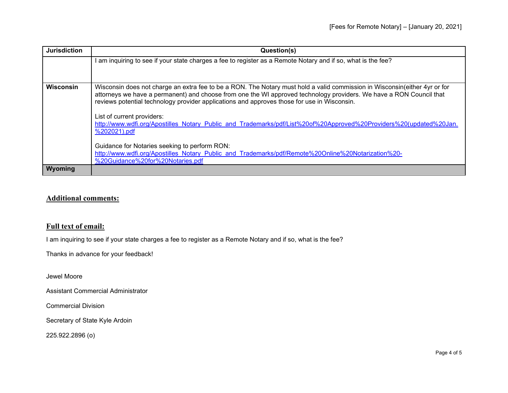| <b>Jurisdiction</b> | Question(s)                                                                                                                                                                                                                                                                                                                                                                                                                                                                                                                                                                                                                                                                 |
|---------------------|-----------------------------------------------------------------------------------------------------------------------------------------------------------------------------------------------------------------------------------------------------------------------------------------------------------------------------------------------------------------------------------------------------------------------------------------------------------------------------------------------------------------------------------------------------------------------------------------------------------------------------------------------------------------------------|
|                     | I am inquiring to see if your state charges a fee to register as a Remote Notary and if so, what is the fee?                                                                                                                                                                                                                                                                                                                                                                                                                                                                                                                                                                |
| <b>Wisconsin</b>    | Wisconsin does not charge an extra fee to be a RON. The Notary must hold a valid commission in Wisconsin(either 4yr or for<br>attorneys we have a permanent) and choose from one the WI approved technology providers. We have a RON Council that<br>reviews potential technology provider applications and approves those for use in Wisconsin.<br>List of current providers:<br>http://www.wdfi.org/Apostilles Notary Public and Trademarks/pdf/List%20of%20Approved%20Providers%20(updated%20Jan.<br>%202021).pdf<br>Guidance for Notaries seeking to perform RON:<br>http://www.wdfi.org/Apostilles Notary Public and Trademarks/pdf/Remote%20Online%20Notarization%20- |
| <b>Wyoming</b>      | %20Guidance%20for%20Notaries.pdf                                                                                                                                                                                                                                                                                                                                                                                                                                                                                                                                                                                                                                            |

## **Additional comments:**

## **Full text of email:**

I am inquiring to see if your state charges a fee to register as a Remote Notary and if so, what is the fee?

Thanks in advance for your feedback!

Jewel Moore

Assistant Commercial Administrator

Commercial Division

Secretary of State Kyle Ardoin

225.922.2896 (o)